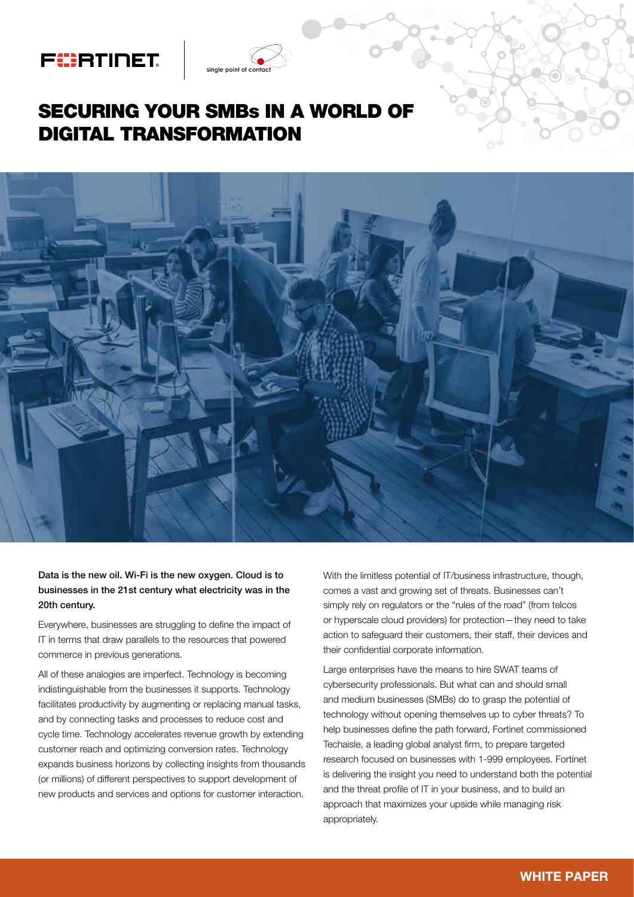# FURTINET

## SECURING YOUR SMBs IN A WORLD OF DIGITAL TRANSFORMATION

nale point of cor



#### Data is the new oil. Wi-Fi is the new oxygen. Cloud is to businesses in the 21st century what electricity was in the 20th century.

Everywhere, businesses are struggling to define the impact of IT in terms that draw parallels to the resources that powered commerce in previous generations.

All of these analogies are imperfect. Technology is becoming indistinguishable from the businesses it supports. Technology facilitates productivity by augmenting or replacing manual tasks, and by connecting tasks and processes to reduce cost and cycle time. Technology accelerates revenue growth by extending customer reach and optimizing conversion rates. Technology expands business horizons by collecting insights from thousands (or millions) of different perspectives to support development of new products and services and options for customer interaction.

With the limitless potential of IT/business infrastructure, though, comes a vast and growing set of threats. Businesses can't simply rely on regulators or the "rules of the road" (from telcos or hyperscale cloud providers) for protection—they need to take action to safeguard their customers, their staff, their devices and their confidential corporate information.

Large enterprises have the means to hire SWAT teams of cybersecurity professionals. But what can and should small and medium businesses (SMBs) do to grasp the potential of technology without opening themselves up to cyber threats? To help businesses define the path forward, Fortinet commissioned Techaisle, a leading global analyst firm, to prepare targeted research focused on businesses with 1-999 employees. Fortinet is delivering the insight you need to understand both the potential and the threat profile of IT in your business, and to build an approach that maximizes your upside while managing risk appropriately.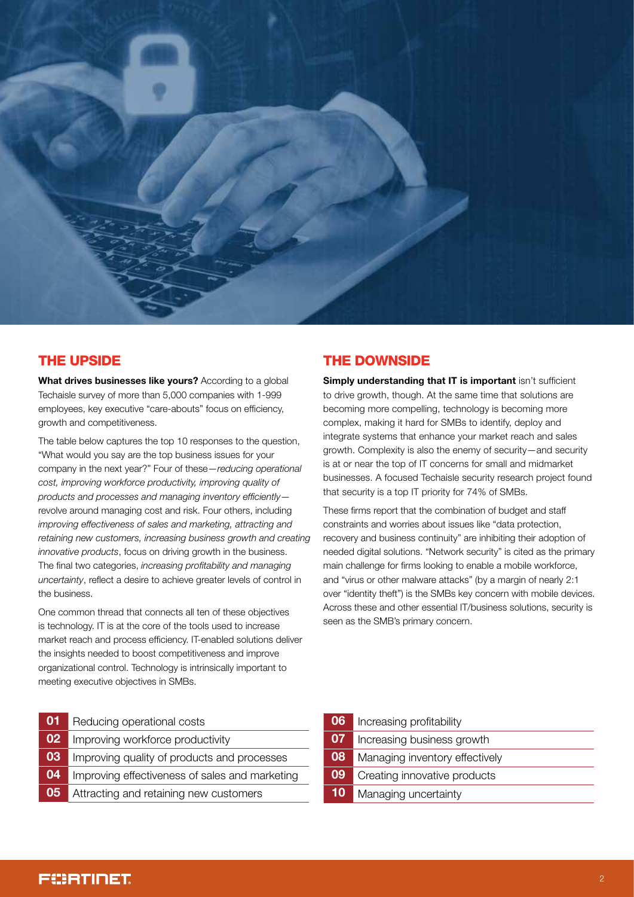

### THE UPSIDE

What drives businesses like vours? According to a global Techaisle survey of more than 5,000 companies with 1-999 employees, key executive "care-abouts" focus on efficiency, growth and competitiveness.

The table below captures the top 10 responses to the question, "What would you say are the top business issues for your company in the next year?" Four of these—*reducing operational cost, improving workforce productivity, improving quality of products and processes and managing inventory efficiently* revolve around managing cost and risk. Four others, including *improving effectiveness of sales and marketing, attracting and retaining new customers, increasing business growth and creating innovative products*, focus on driving growth in the business. The final two categories, *increasing profitability and managing uncertainty*, reflect a desire to achieve greater levels of control in the business.

One common thread that connects all ten of these objectives is technology. IT is at the core of the tools used to increase market reach and process efficiency. IT-enabled solutions deliver the insights needed to boost competitiveness and improve organizational control. Technology is intrinsically important to meeting executive objectives in SMBs.

 Reducing operational costs Improving workforce productivity Improving quality of products and processes Improving effectiveness of sales and marketing Attracting and retaining new customers

### THE DOWNSIDE

**Simply understanding that IT is important isn't sufficient** to drive growth, though. At the same time that solutions are becoming more compelling, technology is becoming more complex, making it hard for SMBs to identify, deploy and integrate systems that enhance your market reach and sales growth. Complexity is also the enemy of security—and security is at or near the top of IT concerns for small and midmarket businesses. A focused Techaisle security research project found that security is a top IT priority for 74% of SMBs.

These firms report that the combination of budget and staff constraints and worries about issues like "data protection, recovery and business continuity" are inhibiting their adoption of needed digital solutions. "Network security" is cited as the primary main challenge for firms looking to enable a mobile workforce, and "virus or other malware attacks" (by a margin of nearly 2:1 over "identity theft") is the SMBs key concern with mobile devices. Across these and other essential IT/business solutions, security is seen as the SMB's primary concern.

 Increasing profitability Increasing business growth Managing inventory effectively Creating innovative products 10 Managing uncertainty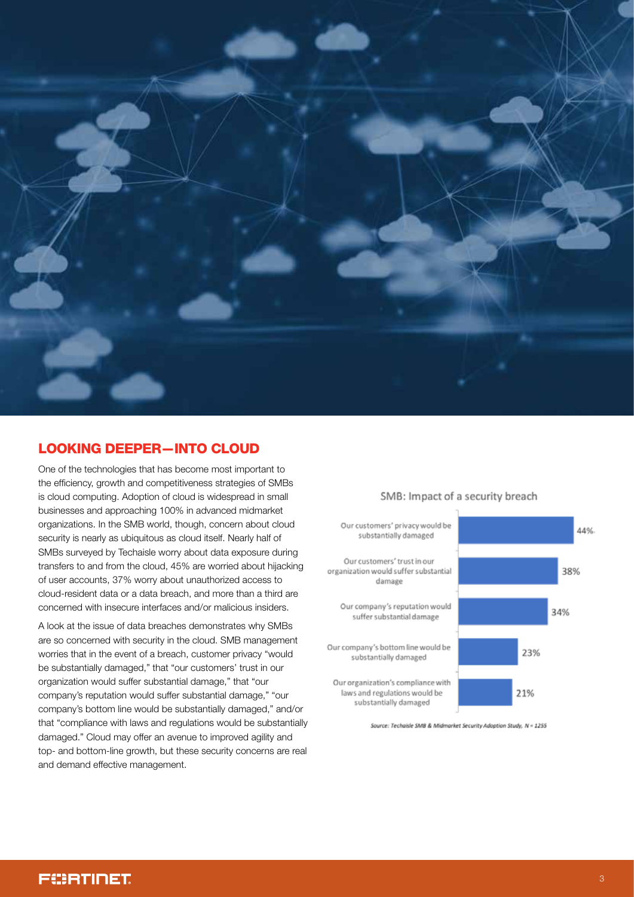

## LOOKING DEEPER—INTO CLOUD

One of the technologies that has become most important to the efficiency, growth and competitiveness strategies of SMBs is cloud computing. Adoption of cloud is widespread in small businesses and approaching 100% in advanced midmarket organizations. In the SMB world, though, concern about cloud security is nearly as ubiquitous as cloud itself. Nearly half of SMBs surveyed by Techaisle worry about data exposure during transfers to and from the cloud, 45% are worried about hijacking of user accounts, 37% worry about unauthorized access to cloud-resident data or a data breach, and more than a third are concerned with insecure interfaces and/or malicious insiders.

A look at the issue of data breaches demonstrates why SMBs are so concerned with security in the cloud. SMB management worries that in the event of a breach, customer privacy "would be substantially damaged," that "our customers' trust in our organization would suffer substantial damage," that "our company's reputation would suffer substantial damage," "our company's bottom line would be substantially damaged," and/or that "compliance with laws and regulations would be substantially damaged." Cloud may offer an avenue to improved agility and top- and bottom-line growth, but these security concerns are real and demand effective management.



Source: Techaisle SMB & Midmarket Security Adoption Study, N = 1255